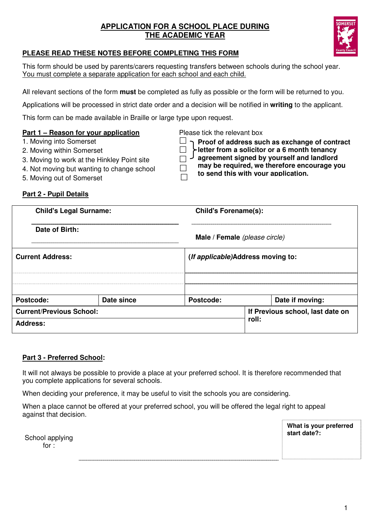## **APPLICATION FOR A SCHOOL PLACE DURING THE ACADEMIC YEAR**



## **PLEASE READ THESE NOTES BEFORE COMPLETING THIS FORM**

This form should be used by parents/carers requesting transfers between schools during the school year. You must complete a separate application for each school and each child.

All relevant sections of the form **must** be completed as fully as possible or the form will be returned to you.

Applications will be processed in strict date order and a decision will be notified in **writing** to the applicant.

**Proof of address such as exchange of contract letter from a solicitor or a 6 month tenancy agreement signed by yourself and landlord** 

**may be required, we therefore encourage you** 

**to send this with your application.**

This form can be made available in Braille or large type upon request.

## **Part 1 – Reason for your application** Please tick the relevant box

- 1. Moving into Somerset
- 2. Moving within Somerset
- 3. Moving to work at the Hinkley Point site
- 4. Not moving but wanting to change school  $\Box$
- 5. Moving out of Somerset

## **Part 2 - Pupil Details**

| <b>Child's Legal Surname:</b>   |            |  | <b>Child's Forename(s):</b>                |                                  |                 |  |  |  |
|---------------------------------|------------|--|--------------------------------------------|----------------------------------|-----------------|--|--|--|
| Date of Birth:                  |            |  | Male / Female (please circle)              |                                  |                 |  |  |  |
| <b>Current Address:</b>         |            |  | ( <i>If applicable</i> )Address moving to: |                                  |                 |  |  |  |
|                                 |            |  |                                            |                                  |                 |  |  |  |
| Postcode:                       | Date since |  | Postcode:                                  |                                  | Date if moving: |  |  |  |
| <b>Current/Previous School:</b> |            |  |                                            | If Previous school, last date on |                 |  |  |  |
| Address:                        |            |  | roll:                                      |                                  |                 |  |  |  |

### **Part 3 - Preferred School:**

It will not always be possible to provide a place at your preferred school. It is therefore recommended that you complete applications for several schools.

When deciding your preference, it may be useful to visit the schools you are considering.

When a place cannot be offered at your preferred school, you will be offered the legal right to appeal against that decision.

School applying for :

**What is your preferred start date?:**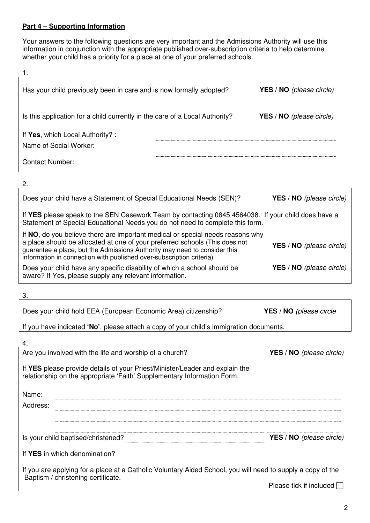## **Part 4 – Supporting Information**

Your answers to the following questions are very important and the Admissions Authority will use this information in conjunction with the appropriate published over-subscription criteria to help determine whether your child has a priority for a place at one of your preferred schools.

| Has your child previously been in care and is now formally adopted?         | <b>YES</b> / <b>NO</b> (please circle) |
|-----------------------------------------------------------------------------|----------------------------------------|
| Is this application for a child currently in the care of a Local Authority? | <b>YES</b> / <b>NO</b> (please circle) |
| If Yes, which Local Authority?:<br>Name of Social Worker:                   |                                        |
| Contact Number:                                                             |                                        |

2.

| Does your child have a Statement of Special Educational Needs (SEN)?                                                                                                                                                                                                                                               | YES / NO (please circle)               |
|--------------------------------------------------------------------------------------------------------------------------------------------------------------------------------------------------------------------------------------------------------------------------------------------------------------------|----------------------------------------|
| If YES please speak to the SEN Casework Team by contacting 0845 4564038. If your child does have a<br>Statement of Special Educational Needs you do not need to complete this form.                                                                                                                                |                                        |
| If NO, do you believe there are important medical or special needs reasons why<br>a place should be allocated at one of your preferred schools (This does not<br>guarantee a place, but the Admissions Authority may need to consider this<br>information in connection with published over-subscription criteria) | <b>YES</b> / <b>NO</b> (please circle) |
| Does your child have any specific disability of which a school should be<br>aware? If Yes, please supply any relevant information.                                                                                                                                                                                 | <b>YES</b> / <b>NO</b> (please circle) |

3.

YES / NO (please circle

If you have indicated **'No'**, please attach a copy of your child's immigration documents.

| Are you involved with the life and worship of a church?                                                                                                 | <b>YES</b> / <b>NO</b> (please circle) |
|---------------------------------------------------------------------------------------------------------------------------------------------------------|----------------------------------------|
| If YES please provide details of your Priest/Minister/Leader and explain the<br>relationship on the appropriate 'Faith' Supplementary Information Form. |                                        |
| Name:                                                                                                                                                   |                                        |
| Address:                                                                                                                                                |                                        |
|                                                                                                                                                         |                                        |
| Is your child baptised/christened?                                                                                                                      | YES / NO (please circle)               |
| If YES in which denomination?                                                                                                                           |                                        |
| If you are applying for a place at a Catholic Voluntary Aided School, you will need to supply a copy of the<br>Baptism / christening certificate.       |                                        |
|                                                                                                                                                         | Please tick if included                |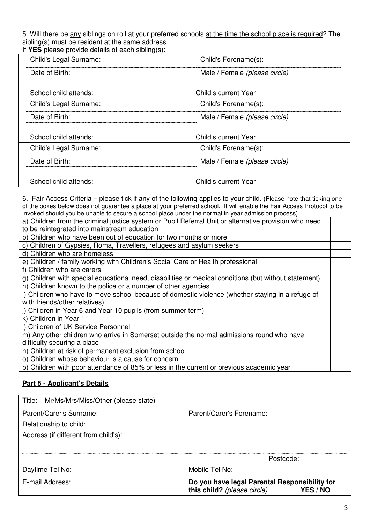5. Will there be any siblings on roll at your preferred schools at the time the school place is required? The sibling(s) must be resident at the same address.

If **YES** please provide details of each sibling(s):

| Child's Legal Surname: | Child's Forename(s):          |  |
|------------------------|-------------------------------|--|
| Date of Birth:         | Male / Female (please circle) |  |
| School child attends:  | Child's current Year          |  |
| Child's Legal Surname: | Child's Forename(s):          |  |
| Date of Birth:         | Male / Female (please circle) |  |
| School child attends:  | Child's current Year          |  |
| Child's Legal Surname: | Child's Forename(s):          |  |
| Date of Birth:         | Male / Female (please circle) |  |
| School child attends:  | Child's current Year          |  |

6. Fair Access Criteria – please tick if any of the following applies to your child. (Please note that ticking one of the boxes below does not guarantee a place at your preferred school. It will enable the Fair Access Protocol to be invoked should you be unable to secure a school place under the normal in year admission process)

| a) Children from the criminal justice system or Pupil Referral Unit or alternative provision who need |  |
|-------------------------------------------------------------------------------------------------------|--|
| to be reintegrated into mainstream education                                                          |  |
| b) Children who have been out of education for two months or more                                     |  |
| c) Children of Gypsies, Roma, Travellers, refugees and asylum seekers                                 |  |
| d) Children who are homeless                                                                          |  |
| e) Children / family working with Children's Social Care or Health professional                       |  |
| f) Children who are carers                                                                            |  |
| g) Children with special educational need, disabilities or medical conditions (but without statement) |  |
| h) Children known to the police or a number of other agencies                                         |  |
| i) Children who have to move school because of domestic violence (whether staying in a refuge of      |  |
| with friends/other relatives)                                                                         |  |
| j) Children in Year 6 and Year 10 pupils (from summer term)                                           |  |
| k) Children in Year 11                                                                                |  |
| I) Children of UK Service Personnel                                                                   |  |
| m) Any other children who arrive in Somerset outside the normal admissions round who have             |  |
| difficulty securing a place                                                                           |  |
| n) Children at risk of permanent exclusion from school                                                |  |
| o) Children whose behaviour is a cause for concern                                                    |  |
| p) Children with poor attendance of 85% or less in the current or previous academic year              |  |

## **Part 5 - Applicant's Details**

| Title: Mr/Ms/Mrs/Miss/Other (please state) |                                                                              |  |  |  |  |  |  |  |
|--------------------------------------------|------------------------------------------------------------------------------|--|--|--|--|--|--|--|
| Parent/Carer's Surname:                    | Parent/Carer's Forename:                                                     |  |  |  |  |  |  |  |
| Relationship to child:                     |                                                                              |  |  |  |  |  |  |  |
| Address (if different from child's):       |                                                                              |  |  |  |  |  |  |  |
|                                            |                                                                              |  |  |  |  |  |  |  |
| Postcode:                                  |                                                                              |  |  |  |  |  |  |  |
| Daytime Tel No:                            | Mobile Tel No:                                                               |  |  |  |  |  |  |  |
| E-mail Address:                            | Do you have legal Parental Responsibility for<br>this child? (please circle) |  |  |  |  |  |  |  |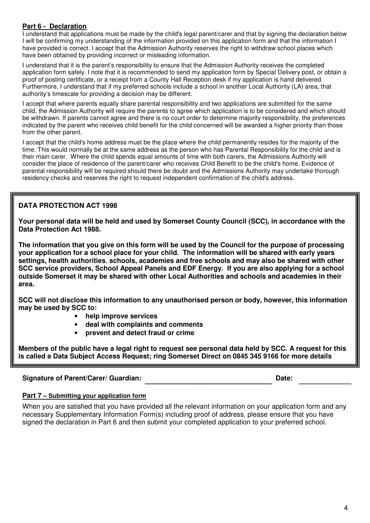#### **Part 6 - Declaration**

I understand that applications must be made by the child's legal parent/carer and that by signing the declaration below I will be confirming my understanding of the information provided on this application form and that the information I have provided is correct. I accept that the Admission Authority reserves the right to withdraw school places which have been obtained by providing incorrect or misleading information.

I understand that it is the parent's responsibility to ensure that the Admission Authority receives the completed application form safely. I note that it is recommended to send my application form by Special Delivery post, or obtain a proof of posting certificate, or a receipt from a County Hall Reception desk if my application is hand delivered. Furthermore, I understand that if my preferred schools include a school in another Local Authority (LA) area, that authority's timescale for providing a decision may be different.

I accept that where parents equally share parental responsibility and two applications are submitted for the same child, the Admission Authority will require the parents to agree which application is to be considered and which should be withdrawn. If parents cannot agree and there is no court order to determine majority responsibility, the preferences indicated by the parent who receives child benefit for the child concerned will be awarded a higher priority than those from the other parent.

I accept that the child's home address must be the place where the child permanently resides for the majority of the time. This would normally be at the same address as the person who has Parental Responsibility for the child and is their main carer. Where the child spends equal amounts of time with both carers, the Admissions Authority will consider the place of residence of the parent/carer who receives Child Benefit to be the child's home. Evidence of parental responsibility will be required should there be doubt and the Admissions Authority may undertake thorough residency checks and reserves the right to request independent confirmation of the child's address.

## **DATA PROTECTION ACT 1998**

**Your personal data will be held and used by Somerset County Council (SCC), in accordance with the Data Protection Act 1988.** 

**The information that you give on this form will be used by the Council for the purpose of processing your application for a school place for your child. The information will be shared with early years settings, health authorities**, **schools, academies and free schools and may also be shared with other SCC service providers, School Appeal Panels and EDF Energy. If you are also applying for a school outside Somerset it may be shared with other Local Authorities and schools and academies in their area.** 

**SCC will not disclose this information to any unauthorised person or body, however, this information may be used by SCC to:** 

- **help improve services**
- **deal with complaints and comments**
- **prevent and detect fraud or crime**

**Members of the public have a legal right to request see personal data held by SCC. A request for this is called a Data Subject Access Request; ring Somerset Direct on 0845 345 9166 for more details**

#### **Signature of Parent/Carer/ Guardian: Date:**

#### **Part 7 – Submitting your application form**

When you are satisfied that you have provided all the relevant information on your application form and any necessary Supplementary Information Form(s) including proof of address, please ensure that you have signed the declaration in Part 6 and then submit your completed application to your preferred school.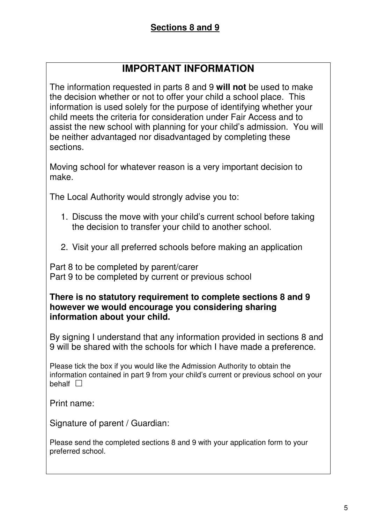# **IMPORTANT INFORMATION**

The information requested in parts 8 and 9 **will not** be used to make the decision whether or not to offer your child a school place. This information is used solely for the purpose of identifying whether your child meets the criteria for consideration under Fair Access and to assist the new school with planning for your child's admission. You will be neither advantaged nor disadvantaged by completing these sections.

Moving school for whatever reason is a very important decision to make.

The Local Authority would strongly advise you to:

- 1. Discuss the move with your child's current school before taking the decision to transfer your child to another school.
- 2. Visit your all preferred schools before making an application

Part 8 to be completed by parent/carer Part 9 to be completed by current or previous school

# **There is no statutory requirement to complete sections 8 and 9 however we would encourage you considering sharing information about your child.**

By signing I understand that any information provided in sections 8 and 9 will be shared with the schools for which I have made a preference.

Please tick the box if you would like the Admission Authority to obtain the information contained in part 9 from your child's current or previous school on your behalf  $\Box$ 

Print name:

Signature of parent / Guardian:

Please send the completed sections 8 and 9 with your application form to your preferred school.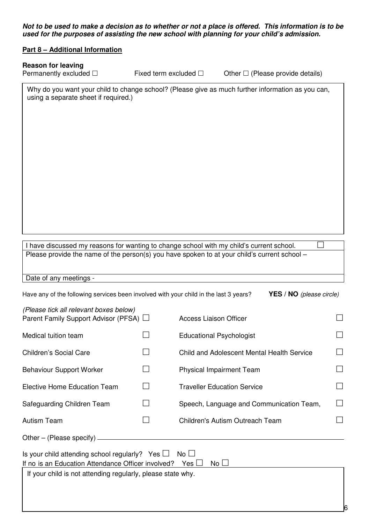**Not to be used to make a decision as to whether or not a place is offered. This information is to be used for the purposes of assisting the new school with planning for your child's admission.** 

#### **Part 8 – Additional Information**

#### **Reason for leaving**

Permanently excluded  $\square$  Fixed term excluded  $\square$  Other  $\square$  (Please provide details)

6

Why do you want your child to change school? (Please give as much further information as you can, using a separate sheet if required.)

I have discussed my reasons for wanting to change school with my child's current school.  $\Box$ Please provide the name of the person(s) you have spoken to at your child's current school –

#### Date of any meetings -

Have any of the following services been involved with your child in the last 3 years? **YES / NO** (please circle)

| (Please tick all relevant boxes below)<br>Parent Family Support Advisor (PFSA) □ | <b>Access Liaison Officer</b>              | $\blacksquare$    |
|----------------------------------------------------------------------------------|--------------------------------------------|-------------------|
| Medical tuition team                                                             | <b>Educational Psychologist</b>            | $\Box$            |
| <b>Children's Social Care</b>                                                    | Child and Adolescent Mental Health Service | $\blacksquare$    |
| <b>Behaviour Support Worker</b>                                                  | <b>Physical Impairment Team</b>            | $\vert \ \ \vert$ |
| Elective Home Education Team                                                     | <b>Traveller Education Service</b>         | $\Box$            |
| Safeguarding Children Team                                                       | Speech, Language and Communication Team,   | $\Box$            |
| <b>Autism Team</b>                                                               | <b>Children's Autism Outreach Team</b>     |                   |
| Other – (Please specify)                                                         |                                            |                   |

Is your child attending school regularly? Yes  $\Box$  No  $\Box$ If no is an Education Attendance Officer involved? Yes  $\Box$  No  $\Box$ 

If your child is not attending regularly, please state why.